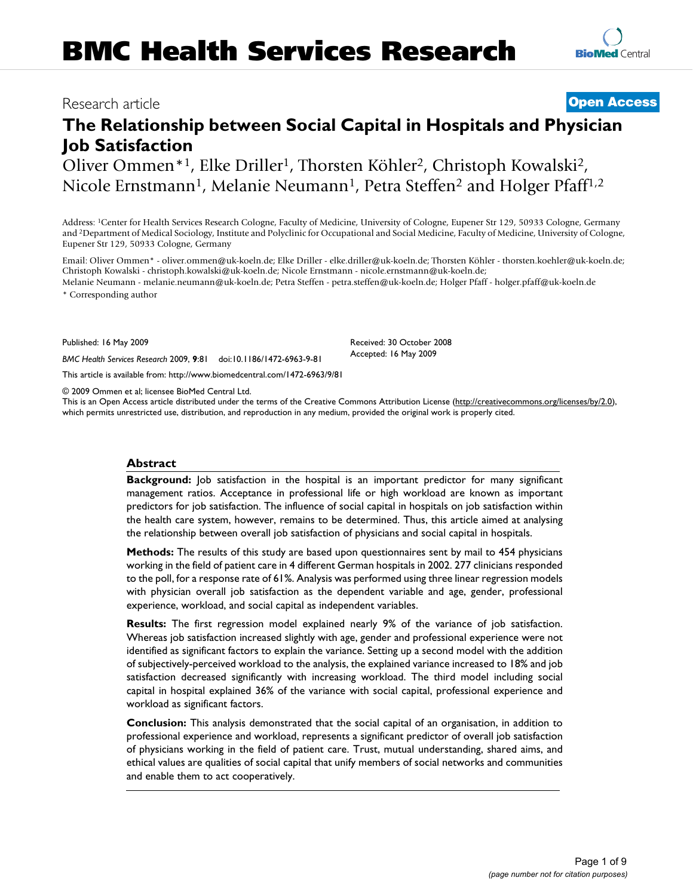## Research article **[Open Access](http://www.biomedcentral.com/info/about/charter/)**

# **The Relationship between Social Capital in Hospitals and Physician Job Satisfaction**

Oliver Ommen\*<sup>1</sup>, Elke Driller<sup>1</sup>, Thorsten Köhler<sup>2</sup>, Christoph Kowalski<sup>2</sup>, Nicole Ernstmann<sup>1</sup>, Melanie Neumann<sup>1</sup>, Petra Steffen<sup>2</sup> and Holger Pfaff<sup>1,2</sup>

Address: 1Center for Health Services Research Cologne, Faculty of Medicine, University of Cologne, Eupener Str 129, 50933 Cologne, Germany and 2Department of Medical Sociology, Institute and Polyclinic for Occupational and Social Medicine, Faculty of Medicine, University of Cologne, Eupener Str 129, 50933 Cologne, Germany

Email: Oliver Ommen\* - oliver.ommen@uk-koeln.de; Elke Driller - elke.driller@uk-koeln.de; Thorsten Köhler - thorsten.koehler@uk-koeln.de; Christoph Kowalski - christoph.kowalski@uk-koeln.de; Nicole Ernstmann - nicole.ernstmann@uk-koeln.de;

> Received: 30 October 2008 Accepted: 16 May 2009

Melanie Neumann - melanie.neumann@uk-koeln.de; Petra Steffen - petra.steffen@uk-koeln.de; Holger Pfaff - holger.pfaff@uk-koeln.de \* Corresponding author

Published: 16 May 2009

*BMC Health Services Research* 2009, **9**:81 doi:10.1186/1472-6963-9-81

[This article is available from: http://www.biomedcentral.com/1472-6963/9/81](http://www.biomedcentral.com/1472-6963/9/81)

© 2009 Ommen et al; licensee BioMed Central Ltd.

This is an Open Access article distributed under the terms of the Creative Commons Attribution License [\(http://creativecommons.org/licenses/by/2.0\)](http://creativecommons.org/licenses/by/2.0), which permits unrestricted use, distribution, and reproduction in any medium, provided the original work is properly cited.

## **Abstract**

**Background:** Job satisfaction in the hospital is an important predictor for many significant management ratios. Acceptance in professional life or high workload are known as important predictors for job satisfaction. The influence of social capital in hospitals on job satisfaction within the health care system, however, remains to be determined. Thus, this article aimed at analysing the relationship between overall job satisfaction of physicians and social capital in hospitals.

**Methods:** The results of this study are based upon questionnaires sent by mail to 454 physicians working in the field of patient care in 4 different German hospitals in 2002. 277 clinicians responded to the poll, for a response rate of 61%. Analysis was performed using three linear regression models with physician overall job satisfaction as the dependent variable and age, gender, professional experience, workload, and social capital as independent variables.

**Results:** The first regression model explained nearly 9% of the variance of job satisfaction. Whereas job satisfaction increased slightly with age, gender and professional experience were not identified as significant factors to explain the variance. Setting up a second model with the addition of subjectively-perceived workload to the analysis, the explained variance increased to 18% and job satisfaction decreased significantly with increasing workload. The third model including social capital in hospital explained 36% of the variance with social capital, professional experience and workload as significant factors.

**Conclusion:** This analysis demonstrated that the social capital of an organisation, in addition to professional experience and workload, represents a significant predictor of overall job satisfaction of physicians working in the field of patient care. Trust, mutual understanding, shared aims, and ethical values are qualities of social capital that unify members of social networks and communities and enable them to act cooperatively.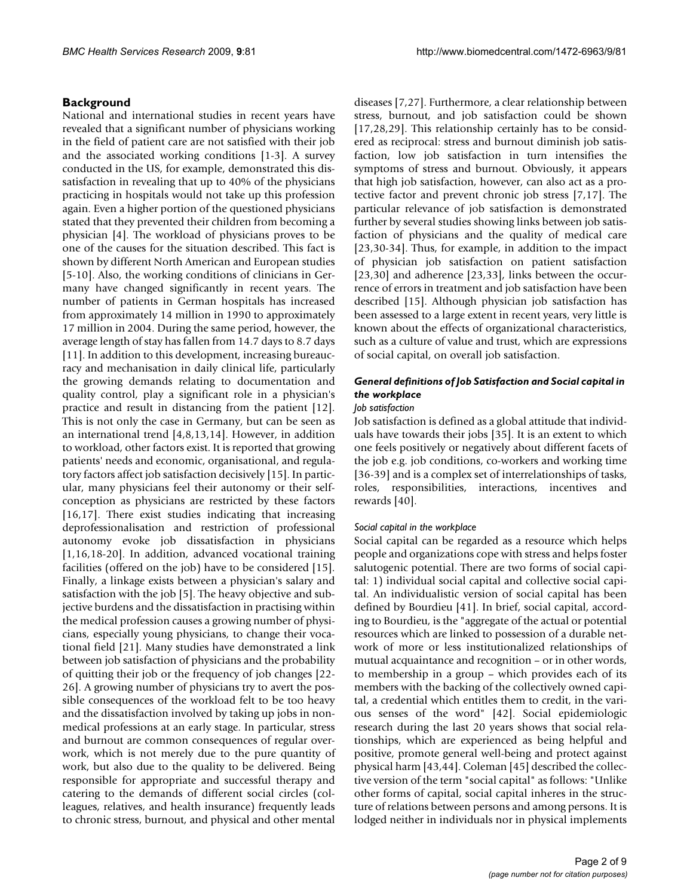## **Background**

National and international studies in recent years have revealed that a significant number of physicians working in the field of patient care are not satisfied with their job and the associated working conditions [1-3]. A survey conducted in the US, for example, demonstrated this dissatisfaction in revealing that up to 40% of the physicians practicing in hospitals would not take up this profession again. Even a higher portion of the questioned physicians stated that they prevented their children from becoming a physician [4]. The workload of physicians proves to be one of the causes for the situation described. This fact is shown by different North American and European studies [5-10]. Also, the working conditions of clinicians in Germany have changed significantly in recent years. The number of patients in German hospitals has increased from approximately 14 million in 1990 to approximately 17 million in 2004. During the same period, however, the average length of stay has fallen from 14.7 days to 8.7 days [11]. In addition to this development, increasing bureaucracy and mechanisation in daily clinical life, particularly the growing demands relating to documentation and quality control, play a significant role in a physician's practice and result in distancing from the patient [12]. This is not only the case in Germany, but can be seen as an international trend [4,8,13,14]. However, in addition to workload, other factors exist. It is reported that growing patients' needs and economic, organisational, and regulatory factors affect job satisfaction decisively [15]. In particular, many physicians feel their autonomy or their selfconception as physicians are restricted by these factors [16,17]. There exist studies indicating that increasing deprofessionalisation and restriction of professional autonomy evoke job dissatisfaction in physicians [1,16,18-20]. In addition, advanced vocational training facilities (offered on the job) have to be considered [15]. Finally, a linkage exists between a physician's salary and satisfaction with the job [5]. The heavy objective and subjective burdens and the dissatisfaction in practising within the medical profession causes a growing number of physicians, especially young physicians, to change their vocational field [21]. Many studies have demonstrated a link between job satisfaction of physicians and the probability of quitting their job or the frequency of job changes [22- 26]. A growing number of physicians try to avert the possible consequences of the workload felt to be too heavy and the dissatisfaction involved by taking up jobs in nonmedical professions at an early stage. In particular, stress and burnout are common consequences of regular overwork, which is not merely due to the pure quantity of work, but also due to the quality to be delivered. Being responsible for appropriate and successful therapy and catering to the demands of different social circles (colleagues, relatives, and health insurance) frequently leads to chronic stress, burnout, and physical and other mental

diseases [7,27]. Furthermore, a clear relationship between stress, burnout, and job satisfaction could be shown [17,28,29]. This relationship certainly has to be considered as reciprocal: stress and burnout diminish job satisfaction, low job satisfaction in turn intensifies the symptoms of stress and burnout. Obviously, it appears that high job satisfaction, however, can also act as a protective factor and prevent chronic job stress [7,17]. The particular relevance of job satisfaction is demonstrated further by several studies showing links between job satisfaction of physicians and the quality of medical care [23,30-34]. Thus, for example, in addition to the impact of physician job satisfaction on patient satisfaction [23,30] and adherence [23,33], links between the occurrence of errors in treatment and job satisfaction have been described [15]. Although physician job satisfaction has been assessed to a large extent in recent years, very little is known about the effects of organizational characteristics, such as a culture of value and trust, which are expressions of social capital, on overall job satisfaction.

## *General definitions of Job Satisfaction and Social capital in the workplace*

#### *Job satisfaction*

Job satisfaction is defined as a global attitude that individuals have towards their jobs [35]. It is an extent to which one feels positively or negatively about different facets of the job e.g. job conditions, co-workers and working time [36-39] and is a complex set of interrelationships of tasks, roles, responsibilities, interactions, incentives and rewards [40].

#### *Social capital in the workplace*

Social capital can be regarded as a resource which helps people and organizations cope with stress and helps foster salutogenic potential. There are two forms of social capital: 1) individual social capital and collective social capital. An individualistic version of social capital has been defined by Bourdieu [41]. In brief, social capital, according to Bourdieu, is the "aggregate of the actual or potential resources which are linked to possession of a durable network of more or less institutionalized relationships of mutual acquaintance and recognition – or in other words, to membership in a group – which provides each of its members with the backing of the collectively owned capital, a credential which entitles them to credit, in the various senses of the word" [42]. Social epidemiologic research during the last 20 years shows that social relationships, which are experienced as being helpful and positive, promote general well-being and protect against physical harm [43,44]. Coleman [45] described the collective version of the term "social capital" as follows: "Unlike other forms of capital, social capital inheres in the structure of relations between persons and among persons. It is lodged neither in individuals nor in physical implements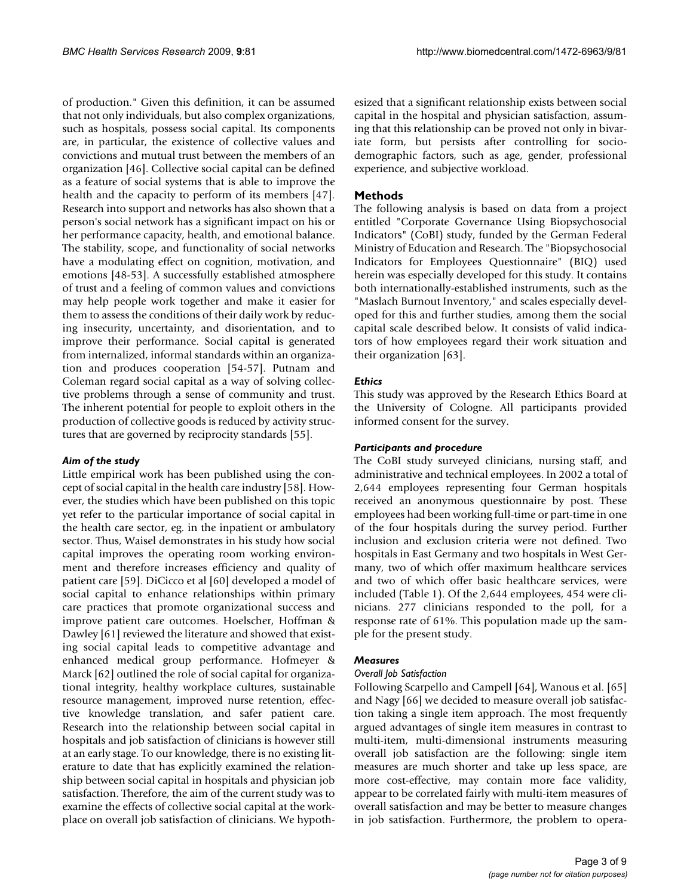of production." Given this definition, it can be assumed that not only individuals, but also complex organizations, such as hospitals, possess social capital. Its components are, in particular, the existence of collective values and convictions and mutual trust between the members of an organization [46]. Collective social capital can be defined as a feature of social systems that is able to improve the health and the capacity to perform of its members [47]. Research into support and networks has also shown that a person's social network has a significant impact on his or her performance capacity, health, and emotional balance. The stability, scope, and functionality of social networks have a modulating effect on cognition, motivation, and emotions [48-53]. A successfully established atmosphere of trust and a feeling of common values and convictions may help people work together and make it easier for them to assess the conditions of their daily work by reducing insecurity, uncertainty, and disorientation, and to improve their performance. Social capital is generated from internalized, informal standards within an organization and produces cooperation [54-57]. Putnam and Coleman regard social capital as a way of solving collective problems through a sense of community and trust. The inherent potential for people to exploit others in the production of collective goods is reduced by activity structures that are governed by reciprocity standards [55].

## *Aim of the study*

Little empirical work has been published using the concept of social capital in the health care industry [58]. However, the studies which have been published on this topic yet refer to the particular importance of social capital in the health care sector, eg. in the inpatient or ambulatory sector. Thus, Waisel demonstrates in his study how social capital improves the operating room working environment and therefore increases efficiency and quality of patient care [59]. DiCicco et al [60] developed a model of social capital to enhance relationships within primary care practices that promote organizational success and improve patient care outcomes. Hoelscher, Hoffman & Dawley [61] reviewed the literature and showed that existing social capital leads to competitive advantage and enhanced medical group performance. Hofmeyer & Marck [62] outlined the role of social capital for organizational integrity, healthy workplace cultures, sustainable resource management, improved nurse retention, effective knowledge translation, and safer patient care. Research into the relationship between social capital in hospitals and job satisfaction of clinicians is however still at an early stage. To our knowledge, there is no existing literature to date that has explicitly examined the relationship between social capital in hospitals and physician job satisfaction. Therefore, the aim of the current study was to examine the effects of collective social capital at the workplace on overall job satisfaction of clinicians. We hypothesized that a significant relationship exists between social capital in the hospital and physician satisfaction, assuming that this relationship can be proved not only in bivariate form, but persists after controlling for sociodemographic factors, such as age, gender, professional experience, and subjective workload.

## **Methods**

The following analysis is based on data from a project entitled "Corporate Governance Using Biopsychosocial Indicators" (CoBI) study, funded by the German Federal Ministry of Education and Research. The "Biopsychosocial Indicators for Employees Questionnaire" (BIQ) used herein was especially developed for this study. It contains both internationally-established instruments, such as the "Maslach Burnout Inventory," and scales especially developed for this and further studies, among them the social capital scale described below. It consists of valid indicators of how employees regard their work situation and their organization [63].

## *Ethics*

This study was approved by the Research Ethics Board at the University of Cologne. All participants provided informed consent for the survey.

## *Participants and procedure*

The CoBI study surveyed clinicians, nursing staff, and administrative and technical employees. In 2002 a total of 2,644 employees representing four German hospitals received an anonymous questionnaire by post. These employees had been working full-time or part-time in one of the four hospitals during the survey period. Further inclusion and exclusion criteria were not defined. Two hospitals in East Germany and two hospitals in West Germany, two of which offer maximum healthcare services and two of which offer basic healthcare services, were included (Table 1). Of the 2,644 employees, 454 were clinicians. 277 clinicians responded to the poll, for a response rate of 61%. This population made up the sample for the present study.

## *Measures*

## *Overall Job Satisfaction*

Following Scarpello and Campell [64], Wanous et al. [65] and Nagy [66] we decided to measure overall job satisfaction taking a single item approach. The most frequently argued advantages of single item measures in contrast to multi-item, multi-dimensional instruments measuring overall job satisfaction are the following: single item measures are much shorter and take up less space, are more cost-effective, may contain more face validity, appear to be correlated fairly with multi-item measures of overall satisfaction and may be better to measure changes in job satisfaction. Furthermore, the problem to opera-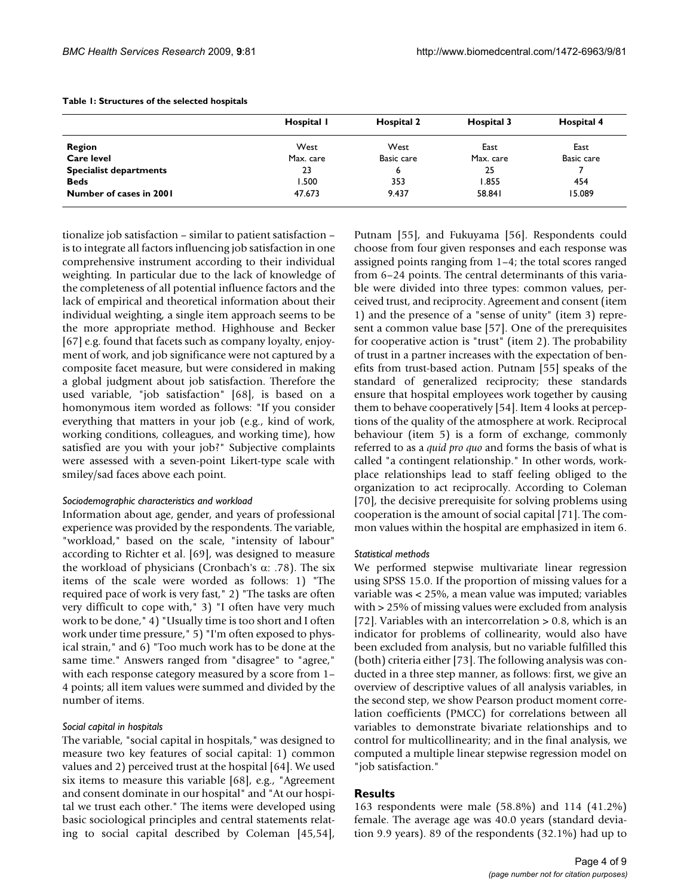|                               | Hospital I | Hospital 2 | Hospital 3 | Hospital 4 |
|-------------------------------|------------|------------|------------|------------|
| Region                        | West       | West       | East       | East       |
| <b>Care level</b>             | Max. care  | Basic care | Max. care  | Basic care |
| <b>Specialist departments</b> | 23         | 6          | 25         |            |
| <b>Beds</b>                   | 1.500      | 353        | 1.855      | 454        |
| Number of cases in 2001       | 47.673     | 9.437      | 58.841     | 15.089     |

#### **Table 1: Structures of the selected hospitals**

tionalize job satisfaction – similar to patient satisfaction – is to integrate all factors influencing job satisfaction in one comprehensive instrument according to their individual weighting. In particular due to the lack of knowledge of the completeness of all potential influence factors and the lack of empirical and theoretical information about their individual weighting, a single item approach seems to be the more appropriate method. Highhouse and Becker [67] e.g. found that facets such as company loyalty, enjoyment of work, and job significance were not captured by a composite facet measure, but were considered in making a global judgment about job satisfaction. Therefore the used variable, "job satisfaction" [68], is based on a homonymous item worded as follows: "If you consider everything that matters in your job (e.g., kind of work, working conditions, colleagues, and working time), how satisfied are you with your job?" Subjective complaints were assessed with a seven-point Likert-type scale with smiley/sad faces above each point.

#### *Sociodemographic characteristics and workload*

Information about age, gender, and years of professional experience was provided by the respondents. The variable, "workload," based on the scale, "intensity of labour" according to Richter et al. [69], was designed to measure the workload of physicians (Cronbach's α: .78). The six items of the scale were worded as follows: 1) "The required pace of work is very fast," 2) "The tasks are often very difficult to cope with," 3) "I often have very much work to be done," 4) "Usually time is too short and I often work under time pressure," 5) "I'm often exposed to physical strain," and 6) "Too much work has to be done at the same time." Answers ranged from "disagree" to "agree," with each response category measured by a score from 1– 4 points; all item values were summed and divided by the number of items.

#### *Social capital in hospitals*

The variable, "social capital in hospitals," was designed to measure two key features of social capital: 1) common values and 2) perceived trust at the hospital [64]. We used six items to measure this variable [68], e.g., "Agreement and consent dominate in our hospital" and "At our hospital we trust each other." The items were developed using basic sociological principles and central statements relating to social capital described by Coleman [45,54],

Putnam [55], and Fukuyama [56]. Respondents could choose from four given responses and each response was assigned points ranging from 1–4; the total scores ranged from 6–24 points. The central determinants of this variable were divided into three types: common values, perceived trust, and reciprocity. Agreement and consent (item 1) and the presence of a "sense of unity" (item 3) represent a common value base [57]. One of the prerequisites for cooperative action is "trust" (item 2). The probability of trust in a partner increases with the expectation of benefits from trust-based action. Putnam [55] speaks of the standard of generalized reciprocity; these standards ensure that hospital employees work together by causing them to behave cooperatively [54]. Item 4 looks at perceptions of the quality of the atmosphere at work. Reciprocal behaviour (item 5) is a form of exchange, commonly referred to as a *quid pro quo* and forms the basis of what is called "a contingent relationship." In other words, workplace relationships lead to staff feeling obliged to the organization to act reciprocally. According to Coleman [70], the decisive prerequisite for solving problems using cooperation is the amount of social capital [71]. The common values within the hospital are emphasized in item 6.

#### *Statistical methods*

We performed stepwise multivariate linear regression using SPSS 15.0. If the proportion of missing values for a variable was < 25%, a mean value was imputed; variables with > 25% of missing values were excluded from analysis [72]. Variables with an intercorrelation  $> 0.8$ , which is an indicator for problems of collinearity, would also have been excluded from analysis, but no variable fulfilled this (both) criteria either [73]. The following analysis was conducted in a three step manner, as follows: first, we give an overview of descriptive values of all analysis variables, in the second step, we show Pearson product moment correlation coefficients (PMCC) for correlations between all variables to demonstrate bivariate relationships and to control for multicollinearity; and in the final analysis, we computed a multiple linear stepwise regression model on "job satisfaction."

## **Results**

163 respondents were male (58.8%) and 114 (41.2%) female. The average age was 40.0 years (standard deviation 9.9 years). 89 of the respondents (32.1%) had up to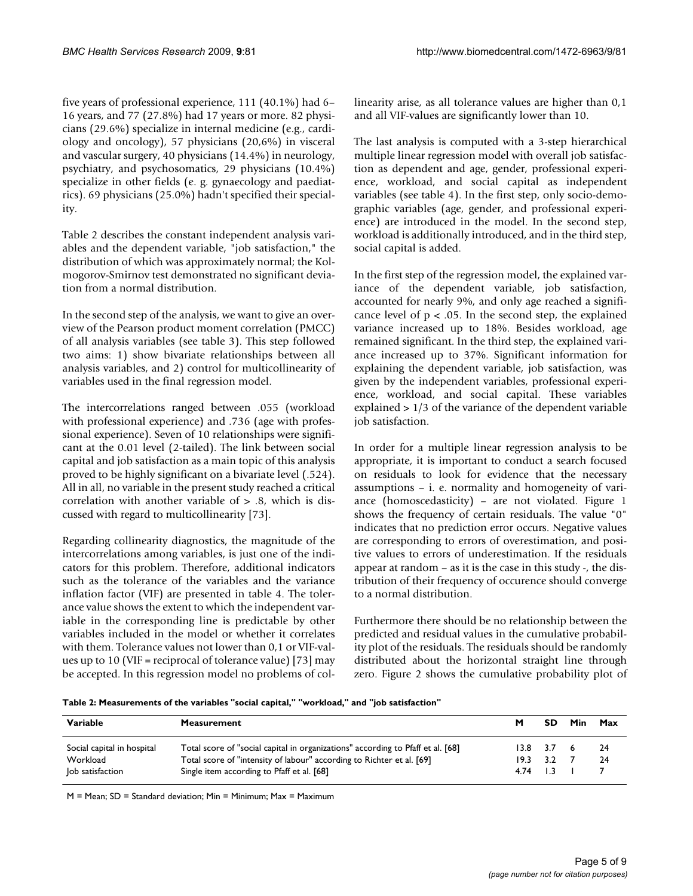five years of professional experience, 111 (40.1%) had 6– 16 years, and 77 (27.8%) had 17 years or more. 82 physicians (29.6%) specialize in internal medicine (e.g., cardiology and oncology), 57 physicians (20,6%) in visceral and vascular surgery, 40 physicians (14.4%) in neurology, psychiatry, and psychosomatics, 29 physicians (10.4%) specialize in other fields (e. g. gynaecology and paediatrics). 69 physicians (25.0%) hadn't specified their speciality.

Table 2 describes the constant independent analysis variables and the dependent variable, "job satisfaction," the distribution of which was approximately normal; the Kolmogorov-Smirnov test demonstrated no significant deviation from a normal distribution.

In the second step of the analysis, we want to give an overview of the Pearson product moment correlation (PMCC) of all analysis variables (see table 3). This step followed two aims: 1) show bivariate relationships between all analysis variables, and 2) control for multicollinearity of variables used in the final regression model.

The intercorrelations ranged between .055 (workload with professional experience) and .736 (age with professional experience). Seven of 10 relationships were significant at the 0.01 level (2-tailed). The link between social capital and job satisfaction as a main topic of this analysis proved to be highly significant on a bivariate level (.524). All in all, no variable in the present study reached a critical correlation with another variable of > .8, which is discussed with regard to multicollinearity [73].

Regarding collinearity diagnostics, the magnitude of the intercorrelations among variables, is just one of the indicators for this problem. Therefore, additional indicators such as the tolerance of the variables and the variance inflation factor (VIF) are presented in table 4. The tolerance value shows the extent to which the independent variable in the corresponding line is predictable by other variables included in the model or whether it correlates with them. Tolerance values not lower than 0,1 or VIF-values up to 10 (VIF = reciprocal of tolerance value) [73] may be accepted. In this regression model no problems of collinearity arise, as all tolerance values are higher than 0,1 and all VIF-values are significantly lower than 10.

The last analysis is computed with a 3-step hierarchical multiple linear regression model with overall job satisfaction as dependent and age, gender, professional experience, workload, and social capital as independent variables (see table 4). In the first step, only socio-demographic variables (age, gender, and professional experience) are introduced in the model. In the second step, workload is additionally introduced, and in the third step, social capital is added.

In the first step of the regression model, the explained variance of the dependent variable, job satisfaction, accounted for nearly 9%, and only age reached a significance level of  $p < .05$ . In the second step, the explained variance increased up to 18%. Besides workload, age remained significant. In the third step, the explained variance increased up to 37%. Significant information for explaining the dependent variable, job satisfaction, was given by the independent variables, professional experience, workload, and social capital. These variables explained > 1/3 of the variance of the dependent variable job satisfaction.

In order for a multiple linear regression analysis to be appropriate, it is important to conduct a search focused on residuals to look for evidence that the necessary assumptions – i. e. normality and homogeneity of variance (homoscedasticity) – are not violated. Figure 1 shows the frequency of certain residuals. The value "0" indicates that no prediction error occurs. Negative values are corresponding to errors of overestimation, and positive values to errors of underestimation. If the residuals appear at random – as it is the case in this study -, the distribution of their frequency of occurence should converge to a normal distribution.

Furthermore there should be no relationship between the predicted and residual values in the cumulative probability plot of the residuals. The residuals should be randomly distributed about the horizontal straight line through zero. Figure 2 shows the cumulative probability plot of

|  | Table 2: Measurements of the variables "social capital," "workload," and "job satisfaction" |  |  |  |  |
|--|---------------------------------------------------------------------------------------------|--|--|--|--|
|--|---------------------------------------------------------------------------------------------|--|--|--|--|

| Variable                                                   | <b>Measurement</b>                                                                                                                                                                                     | м                           | <b>SD</b> | Min | Max      |
|------------------------------------------------------------|--------------------------------------------------------------------------------------------------------------------------------------------------------------------------------------------------------|-----------------------------|-----------|-----|----------|
| Social capital in hospital<br>Workload<br>Job satisfaction | Total score of "social capital in organizations" according to Pfaff et al. [68]<br>Total score of "intensity of labour" according to Richter et al. [69]<br>Single item according to Pfaff et al. [68] | $13.8$ 3.7<br>19.3.<br>4.74 | 3.2       |     | 24<br>24 |

M = Mean; SD = Standard deviation; Min = Minimum; Max = Maximum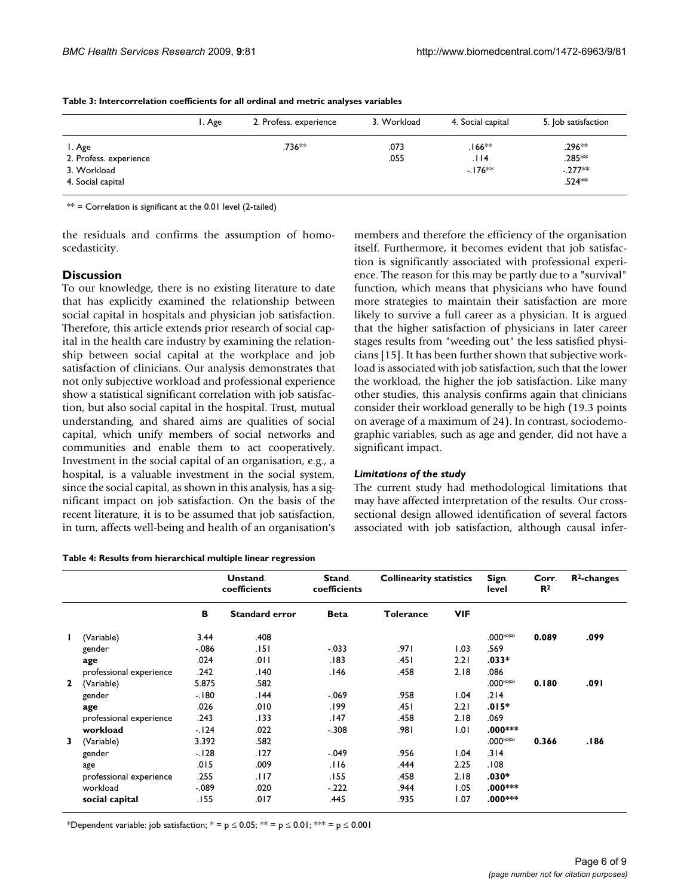|                        | I. Age | 2. Profess. experience | 3. Workload | 4. Social capital | 5. Job satisfaction |
|------------------------|--------|------------------------|-------------|-------------------|---------------------|
| I. Age                 |        | .736**                 | .073        | $.166***$         | .296**              |
| 2. Profess. experience |        |                        | .055        | ۱۱4.              | .285**              |
| 3. Workload            |        |                        |             | $-176**$          | $-277**$            |
| 4. Social capital      |        |                        |             |                   | .524**              |
|                        |        |                        |             |                   |                     |

| Table 3: Intercorrelation coefficients for all ordinal and metric analyses variables |  |  |  |  |
|--------------------------------------------------------------------------------------|--|--|--|--|
|--------------------------------------------------------------------------------------|--|--|--|--|

 $**$  = Correlation is significant at the 0.01 level (2-tailed)

the residuals and confirms the assumption of homoscedasticity.

## **Discussion**

To our knowledge, there is no existing literature to date that has explicitly examined the relationship between social capital in hospitals and physician job satisfaction. Therefore, this article extends prior research of social capital in the health care industry by examining the relationship between social capital at the workplace and job satisfaction of clinicians. Our analysis demonstrates that not only subjective workload and professional experience show a statistical significant correlation with job satisfaction, but also social capital in the hospital. Trust, mutual understanding, and shared aims are qualities of social capital, which unify members of social networks and communities and enable them to act cooperatively. Investment in the social capital of an organisation, e.g., a hospital, is a valuable investment in the social system, since the social capital, as shown in this analysis, has a significant impact on job satisfaction. On the basis of the recent literature, it is to be assumed that job satisfaction, in turn, affects well-being and health of an organisation's

#### **Table 4: Results from hierarchical multiple linear regression**

members and therefore the efficiency of the organisation itself. Furthermore, it becomes evident that job satisfaction is significantly associated with professional experience. The reason for this may be partly due to a "survival" function, which means that physicians who have found more strategies to maintain their satisfaction are more likely to survive a full career as a physician. It is argued that the higher satisfaction of physicians in later career stages results from "weeding out" the less satisfied physicians [15]. It has been further shown that subjective workload is associated with job satisfaction, such that the lower the workload, the higher the job satisfaction. Like many other studies, this analysis confirms again that clinicians consider their workload generally to be high (19.3 points on average of a maximum of 24). In contrast, sociodemographic variables, such as age and gender, did not have a significant impact.

#### *Limitations of the study*

The current study had methodological limitations that may have affected interpretation of the results. Our crosssectional design allowed identification of several factors associated with job satisfaction, although causal infer-

|              |                         |          | Unstand.<br>coefficients | Stand.<br>coefficients | <b>Collinearity statistics</b> |            | Sign.<br>level | Corr.<br>R <sup>2</sup> | $R^2$ -changes |
|--------------|-------------------------|----------|--------------------------|------------------------|--------------------------------|------------|----------------|-------------------------|----------------|
|              |                         | B        | <b>Standard error</b>    | <b>Beta</b>            | <b>Tolerance</b>               | <b>VIF</b> |                |                         |                |
|              | (Variable)              | 3.44     | .408                     |                        |                                |            | $.000***$      | 0.089                   | .099           |
|              | gender                  | $-0.086$ | .151                     | $-.033$                | .971                           | 1.03       | .569           |                         |                |
|              | age                     | .024     | .011                     | .183                   | .451                           | 2.21       | $.033*$        |                         |                |
|              | professional experience | .242     | .140                     | .146                   | .458                           | 2.18       | .086           |                         |                |
| $\mathbf{2}$ | (Variable)              | 5.875    | .582                     |                        |                                |            | $.000***$      | 0.180                   | .091           |
|              | gender                  | $-180$   | .144                     | $-.069$                | .958                           | 1.04       | .214           |                         |                |
|              | age                     | .026     | .010                     | .199                   | .451                           | 2.21       | $.015*$        |                         |                |
|              | professional experience | .243     | .133                     | .147                   | .458                           | 2.18       | .069           |                         |                |
|              | workload                | $-124$   | .022                     | $-.308$                | .981                           | 1.01       | $.000***$      |                         |                |
| 3            | (Variable)              | 3.392    | .582                     |                        |                                |            | $.000***$      | 0.366                   | .186           |
|              | gender                  | $-128$   | .127                     | $-.049$                | .956                           | 1.04       | .314           |                         |                |
|              | age                     | .015     | .009                     | .116                   | .444                           | 2.25       | .108           |                         |                |
|              | professional experience | .255     | .117                     | .155                   | .458                           | 2.18       | $.030*$        |                         |                |
|              | workload                | $-.089$  | .020                     | $-.222$                | .944                           | 1.05       | $.000***$      |                         |                |
|              | social capital          | .155     | .017                     | .445                   | .935                           | 1.07       | $.000***$      |                         |                |

\*Dependent variable: job satisfaction; \* = p  $\leq$  0.05; \*\* = p  $\leq$  0.01; \*\* = p  $\leq$  0.001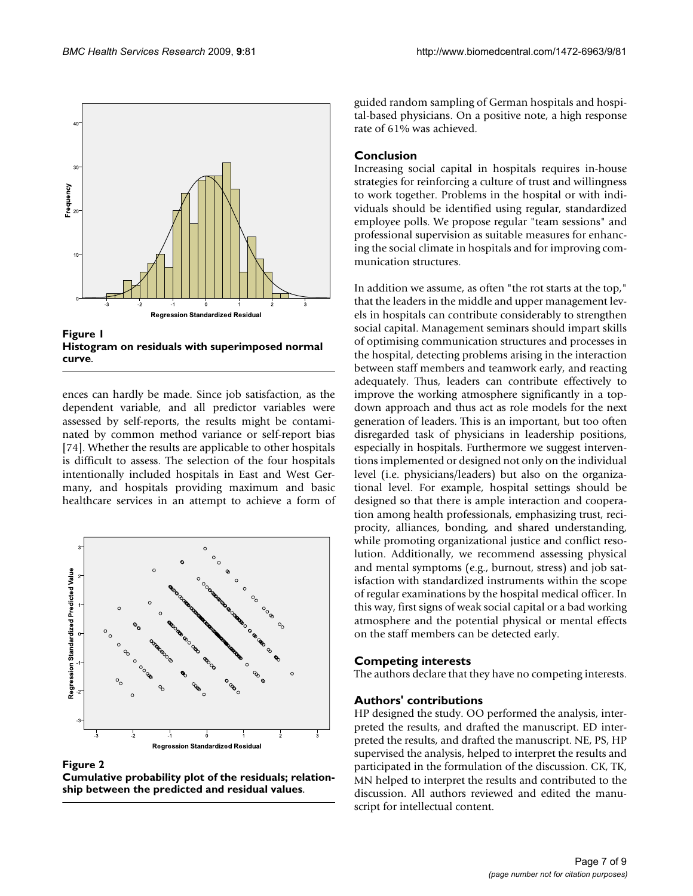

**Figure 1 Histogram on residuals with superimposed normal curve**.

ences can hardly be made. Since job satisfaction, as the dependent variable, and all predictor variables were assessed by self-reports, the results might be contaminated by common method variance or self-report bias [74]. Whether the results are applicable to other hospitals is difficult to assess. The selection of the four hospitals intentionally included hospitals in East and West Germany, and hospitals providing maximum and basic healthcare services in an attempt to achieve a form of



Figure 2

**Cumulative probability plot of the residuals; relationship between the predicted and residual values**.

guided random sampling of German hospitals and hospital-based physicians. On a positive note, a high response rate of 61% was achieved.

## **Conclusion**

Increasing social capital in hospitals requires in-house strategies for reinforcing a culture of trust and willingness to work together. Problems in the hospital or with individuals should be identified using regular, standardized employee polls. We propose regular "team sessions" and professional supervision as suitable measures for enhancing the social climate in hospitals and for improving communication structures.

In addition we assume, as often "the rot starts at the top," that the leaders in the middle and upper management levels in hospitals can contribute considerably to strengthen social capital. Management seminars should impart skills of optimising communication structures and processes in the hospital, detecting problems arising in the interaction between staff members and teamwork early, and reacting adequately. Thus, leaders can contribute effectively to improve the working atmosphere significantly in a topdown approach and thus act as role models for the next generation of leaders. This is an important, but too often disregarded task of physicians in leadership positions, especially in hospitals. Furthermore we suggest interventions implemented or designed not only on the individual level (i.e. physicians/leaders) but also on the organizational level. For example, hospital settings should be designed so that there is ample interaction and cooperation among health professionals, emphasizing trust, reciprocity, alliances, bonding, and shared understanding, while promoting organizational justice and conflict resolution. Additionally, we recommend assessing physical and mental symptoms (e.g., burnout, stress) and job satisfaction with standardized instruments within the scope of regular examinations by the hospital medical officer. In this way, first signs of weak social capital or a bad working atmosphere and the potential physical or mental effects on the staff members can be detected early.

## **Competing interests**

The authors declare that they have no competing interests.

## **Authors' contributions**

HP designed the study. OO performed the analysis, interpreted the results, and drafted the manuscript. ED interpreted the results, and drafted the manuscript. NE, PS, HP supervised the analysis, helped to interpret the results and participated in the formulation of the discussion. CK, TK, MN helped to interpret the results and contributed to the discussion. All authors reviewed and edited the manuscript for intellectual content.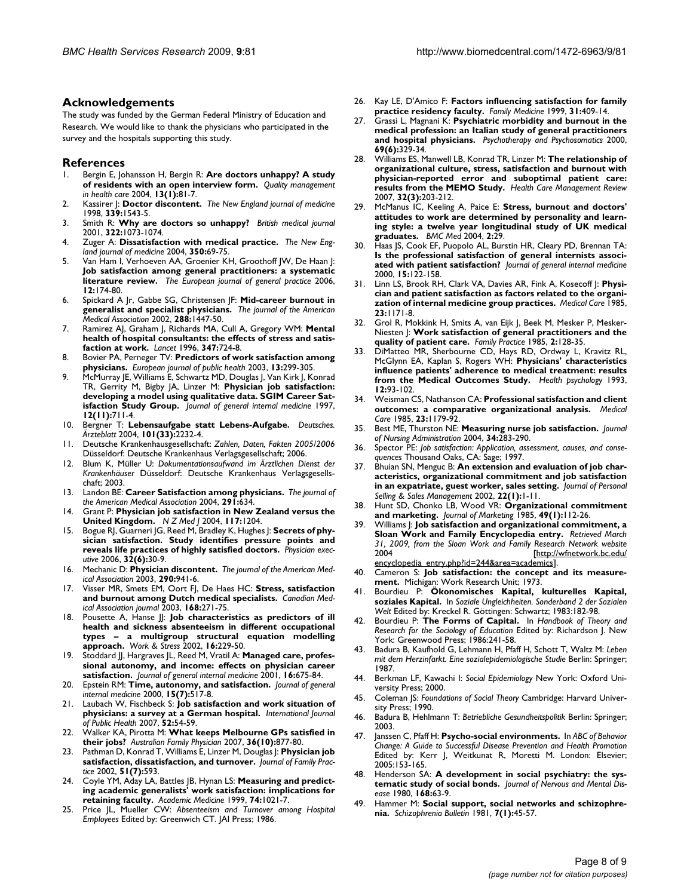#### **Acknowledgements**

The study was funded by the German Federal Ministry of Education and Research. We would like to thank the physicians who participated in the survey and the hospitals supporting this study.

#### **References**

- 1. Bergin E, Johansson H, Bergin R: **[Are doctors unhappy? A study](http://www.ncbi.nlm.nih.gov/entrez/query.fcgi?cmd=Retrieve&db=PubMed&dopt=Abstract&list_uids=14976910) [of residents with an open interview form.](http://www.ncbi.nlm.nih.gov/entrez/query.fcgi?cmd=Retrieve&db=PubMed&dopt=Abstract&list_uids=14976910)** *Quality management in health care* 2004, **13(1):**81-7.
- 2. Kassirer J: **[Doctor discontent.](http://www.ncbi.nlm.nih.gov/entrez/query.fcgi?cmd=Retrieve&db=PubMed&dopt=Abstract&list_uids=9819454)** *The New England journal of medicine* 1998, **339:**1543-5.
- 3. Smith R: **[Why are doctors so unhappy?](http://www.ncbi.nlm.nih.gov/entrez/query.fcgi?cmd=Retrieve&db=PubMed&dopt=Abstract&list_uids=11337419)** *British medical journal* 2001, **322:**1073-1074.
- 4. Zuger A: **[Dissatisfaction with medical practice.](http://www.ncbi.nlm.nih.gov/entrez/query.fcgi?cmd=Retrieve&db=PubMed&dopt=Abstract&list_uids=14702431)** *The New England journal of medicine* 2004, **350:**69-75.
- 5. Van Ham I, Verhoeven AA, Groenier KH, Groothoff JW, De Haan J: **[Job satisfaction among general practitioners: a systematic](http://www.ncbi.nlm.nih.gov/entrez/query.fcgi?cmd=Retrieve&db=PubMed&dopt=Abstract&list_uids=17127604) [literature review.](http://www.ncbi.nlm.nih.gov/entrez/query.fcgi?cmd=Retrieve&db=PubMed&dopt=Abstract&list_uids=17127604)** *The European journal of general practice* 2006, **12:**174-80.
- 6. Spickard A Jr, Gabbe SG, Christensen JF: **Mid-career burnout in generalist and specialist physicians.** *The journal of the American Medical Association* 2002, **288:**1447-50.
- 7. Ramirez AJ, Graham J, Richards MA, Cull A, Gregory WM: **[Mental](http://www.ncbi.nlm.nih.gov/entrez/query.fcgi?cmd=Retrieve&db=PubMed&dopt=Abstract&list_uids=8602002) [health of hospital consultants: the effects of stress and satis](http://www.ncbi.nlm.nih.gov/entrez/query.fcgi?cmd=Retrieve&db=PubMed&dopt=Abstract&list_uids=8602002)[faction at work.](http://www.ncbi.nlm.nih.gov/entrez/query.fcgi?cmd=Retrieve&db=PubMed&dopt=Abstract&list_uids=8602002)** *Lancet* 1996, **347:**724-8.
- 8. Bovier PA, Perneger TV: **[Predictors of work satisfaction among](http://www.ncbi.nlm.nih.gov/entrez/query.fcgi?cmd=Retrieve&db=PubMed&dopt=Abstract&list_uids=14703315) [physicians.](http://www.ncbi.nlm.nih.gov/entrez/query.fcgi?cmd=Retrieve&db=PubMed&dopt=Abstract&list_uids=14703315)** *European journal of public health* 2003, **13:**299-305.
- 9. McMurray JE, Williams E, Schwartz MD, Douglas J, Van Kirk J, Konrad TR, Gerrity M, Bigby JA, Linzer M: **Physician job satisfaction: developing a model using qualitative data. SGIM Career Satisfaction Study Group.** *Journal of general internal medicine* 1997, **12(11):**711-4.
- 10. Bergner T: **Lebensaufgabe statt Lebens-Aufgabe.** *Deutsches. Ärzteblatt* 2004, **101(33):**2232-4.
- 11. Deutsche Krankenhausgesellschaft: *Zahlen, Daten, Fakten 2005/2006* Düsseldorf: Deutsche Krankenhaus Verlagsgesellschaft; 2006.
- 12. Blum K, Müller U: *Dokumentationsaufwand im Ärztlichen Dienst der Krankenhäuser* Düsseldorf: Deutsche Krankenhaus Verlagsgesellschaft; 2003.
- 13. Landon BE: **Career Satisfaction among physicians.** *The journal of the American Medical Association* 2004, **291:**634.
- 14. Grant P: **Physician job satisfaction in New Zealand versus the United Kingdom.** *N Z Med J* 2004, **117:**1204.
- 15. Bogue RJ, Guarneri JG, Reed M, Bradley K, Hughes J: **[Secrets of phy](http://www.ncbi.nlm.nih.gov/entrez/query.fcgi?cmd=Retrieve&db=PubMed&dopt=Abstract&list_uids=17176708)[sician satisfaction. Study identifies pressure points and](http://www.ncbi.nlm.nih.gov/entrez/query.fcgi?cmd=Retrieve&db=PubMed&dopt=Abstract&list_uids=17176708) [reveals life practices of highly satisfied doctors.](http://www.ncbi.nlm.nih.gov/entrez/query.fcgi?cmd=Retrieve&db=PubMed&dopt=Abstract&list_uids=17176708)** *Physician executive* 2006, **32(6):**30-9.
- 16. Mechanic D: **Physician discontent.** *The journal of the American Medical Association* 2003, **290:**941-6.
- 17. Visser MR, Smets EM, Oort FJ, De Haes HC: **[Stress, satisfaction](http://www.ncbi.nlm.nih.gov/entrez/query.fcgi?cmd=Retrieve&db=PubMed&dopt=Abstract&list_uids=12566331) [and burnout among Dutch medical specialists.](http://www.ncbi.nlm.nih.gov/entrez/query.fcgi?cmd=Retrieve&db=PubMed&dopt=Abstract&list_uids=12566331)** *Canadian Medical Association journal* 2003, **168:**271-75.
- Pousette A, Hanse JJ: **Job characteristics as predictors of ill health and sickness absenteeism in different occupational types – a multigroup structural equation modelling approach.** *Work & Stress* 2002, **16:**229-50.
- 19. Stoddard JJ, Hargraves JL, Reed M, Vratil A: **[Managed care, profes](http://www.ncbi.nlm.nih.gov/entrez/query.fcgi?cmd=Retrieve&db=PubMed&dopt=Abstract&list_uids=11679035)[sional autonomy, and income: effects on physician career](http://www.ncbi.nlm.nih.gov/entrez/query.fcgi?cmd=Retrieve&db=PubMed&dopt=Abstract&list_uids=11679035) [satisfaction.](http://www.ncbi.nlm.nih.gov/entrez/query.fcgi?cmd=Retrieve&db=PubMed&dopt=Abstract&list_uids=11679035)** *Journal of general internal medicine* 2001, **16:**675-84.
- 20. Epstein RM: **[Time, autonomy, and satisfaction.](http://www.ncbi.nlm.nih.gov/entrez/query.fcgi?cmd=Retrieve&db=PubMed&dopt=Abstract&list_uids=10940141)** *Journal of general internal medicine* 2000, **15(7):**517-8.
- 21. Laubach W, Fischbeck S: **[Job satisfaction and work situation of](http://www.ncbi.nlm.nih.gov/entrez/query.fcgi?cmd=Retrieve&db=PubMed&dopt=Abstract&list_uids=17966819) [physicians: a survey at a German hospital.](http://www.ncbi.nlm.nih.gov/entrez/query.fcgi?cmd=Retrieve&db=PubMed&dopt=Abstract&list_uids=17966819)** *International Journal of Public Health* 2007, **52:**54-59.
- 22. Walker KA, Pirotta M: **[What keeps Melbourne GPs satisfied in](http://www.ncbi.nlm.nih.gov/entrez/query.fcgi?cmd=Retrieve&db=PubMed&dopt=Abstract&list_uids=17925914) [their jobs?](http://www.ncbi.nlm.nih.gov/entrez/query.fcgi?cmd=Retrieve&db=PubMed&dopt=Abstract&list_uids=17925914)** *Australian Family Physician* 2007, **36(10):**877-80.
- Pathman D, Konrad T, Williams E, Linzer M, Douglas J: [Physician job](http://www.ncbi.nlm.nih.gov/entrez/query.fcgi?cmd=Retrieve&db=PubMed&dopt=Abstract&list_uids=12160487) **[satisfaction, dissatisfaction, and turnover.](http://www.ncbi.nlm.nih.gov/entrez/query.fcgi?cmd=Retrieve&db=PubMed&dopt=Abstract&list_uids=12160487)** *Journal of Family Practice* 2002, **51(7):**593.
- 24. Coyle YM, Aday LA, Battles JB, Hynan LS: **[Measuring and predict](http://www.ncbi.nlm.nih.gov/entrez/query.fcgi?cmd=Retrieve&db=PubMed&dopt=Abstract&list_uids=10498097)[ing academic generalists' work satisfaction: implications for](http://www.ncbi.nlm.nih.gov/entrez/query.fcgi?cmd=Retrieve&db=PubMed&dopt=Abstract&list_uids=10498097) [retaining faculty.](http://www.ncbi.nlm.nih.gov/entrez/query.fcgi?cmd=Retrieve&db=PubMed&dopt=Abstract&list_uids=10498097)** *Academic Medicine* 1999, **74:**1021-7.
- 25. Price JL, Mueller CW: *Absenteeism and Turnover among Hospital Employees* Edited by: Greenwich CT. JAI Press; 1986.
- 26. Kay LE, D'Amico F: **[Factors influencing satisfaction for family](http://www.ncbi.nlm.nih.gov/entrez/query.fcgi?cmd=Retrieve&db=PubMed&dopt=Abstract&list_uids=10367205) [practice residency faculty.](http://www.ncbi.nlm.nih.gov/entrez/query.fcgi?cmd=Retrieve&db=PubMed&dopt=Abstract&list_uids=10367205)** *Family Medicine* 1999, **31:**409-14.
- 27. Grassi L, Magnani K: **Psychiatric morbidity and burnout in the medical profession: an Italian study of general practitioners and hospital physicians.** *Psychotherapy and Psychosomatics* 2000, **69(6):**329-34.
- 28. Williams ES, Manwell LB, Konrad TR, Linzer M: **[The relationship of](http://www.ncbi.nlm.nih.gov/entrez/query.fcgi?cmd=Retrieve&db=PubMed&dopt=Abstract&list_uids=17666991) [organizational culture, stress, satisfaction and burnout with](http://www.ncbi.nlm.nih.gov/entrez/query.fcgi?cmd=Retrieve&db=PubMed&dopt=Abstract&list_uids=17666991) physician-reported error and suboptimal patient care: [results from the MEMO Study.](http://www.ncbi.nlm.nih.gov/entrez/query.fcgi?cmd=Retrieve&db=PubMed&dopt=Abstract&list_uids=17666991)** *Health Care Management Review* 2007, **32(3):**203-212.
- 29. McManus IC, Keeling A, Paice E: **[Stress, burnout and doctors'](http://www.ncbi.nlm.nih.gov/entrez/query.fcgi?cmd=Retrieve&db=PubMed&dopt=Abstract&list_uids=15317650) [attitudes to work are determined by personality and learn](http://www.ncbi.nlm.nih.gov/entrez/query.fcgi?cmd=Retrieve&db=PubMed&dopt=Abstract&list_uids=15317650)ing style: a twelve year longitudinal study of UK medical [graduates.](http://www.ncbi.nlm.nih.gov/entrez/query.fcgi?cmd=Retrieve&db=PubMed&dopt=Abstract&list_uids=15317650)** *BMC Med* 2004, **2:**29.
- 30. Haas JS, Cook EF, Puopolo AL, Burstin HR, Cleary PD, Brennan TA: **[Is the professional satisfaction of general internists associ](http://www.ncbi.nlm.nih.gov/entrez/query.fcgi?cmd=Retrieve&db=PubMed&dopt=Abstract&list_uids=10672116)[ated with patient satisfaction?](http://www.ncbi.nlm.nih.gov/entrez/query.fcgi?cmd=Retrieve&db=PubMed&dopt=Abstract&list_uids=10672116)** *Journal of general internal medicine* 2000, **15:**122-158.
- 31. Linn LS, Brook RH, Clark VA, Davies AR, Fink A, Kosecoff J: **[Physi](http://www.ncbi.nlm.nih.gov/entrez/query.fcgi?cmd=Retrieve&db=PubMed&dopt=Abstract&list_uids=4058071)[cian and patient satisfaction as factors related to the organi](http://www.ncbi.nlm.nih.gov/entrez/query.fcgi?cmd=Retrieve&db=PubMed&dopt=Abstract&list_uids=4058071)[zation of internal medicine group practices.](http://www.ncbi.nlm.nih.gov/entrez/query.fcgi?cmd=Retrieve&db=PubMed&dopt=Abstract&list_uids=4058071)** *Medical Care* 1985, **23:**1171-8.
- 32. Grol R, Mokkink H, Smits A, van Eijk J, Beek M, Mesker P, Mesker-Niesten J: **[Work satisfaction of general practitioners and the](http://www.ncbi.nlm.nih.gov/entrez/query.fcgi?cmd=Retrieve&db=PubMed&dopt=Abstract&list_uids=4043602) [quality of patient care.](http://www.ncbi.nlm.nih.gov/entrez/query.fcgi?cmd=Retrieve&db=PubMed&dopt=Abstract&list_uids=4043602)** *Family Practice* 1985, **2:**128-35.
- DiMatteo MR, Sherbourne CD, Hays RD, Ordway L, Kravitz RL, McGlynn EA, Kaplan S, Rogers WH: **[Physicians' characteristics](http://www.ncbi.nlm.nih.gov/entrez/query.fcgi?cmd=Retrieve&db=PubMed&dopt=Abstract&list_uids=8500445) [influence patients' adherence to medical treatment: results](http://www.ncbi.nlm.nih.gov/entrez/query.fcgi?cmd=Retrieve&db=PubMed&dopt=Abstract&list_uids=8500445) [from the Medical Outcomes Study.](http://www.ncbi.nlm.nih.gov/entrez/query.fcgi?cmd=Retrieve&db=PubMed&dopt=Abstract&list_uids=8500445)** *Health psychology* 1993, **12:**93-102.
- 34. Weisman CS, Nathanson CA: **[Professional satisfaction and client](http://www.ncbi.nlm.nih.gov/entrez/query.fcgi?cmd=Retrieve&db=PubMed&dopt=Abstract&list_uids=4058072) [outcomes: a comparative organizational analysis.](http://www.ncbi.nlm.nih.gov/entrez/query.fcgi?cmd=Retrieve&db=PubMed&dopt=Abstract&list_uids=4058072)** *Medical Care* 1985, **23:**1179-92.
- 35. Best ME, Thurston NE: **[Measuring nurse job satisfaction.](http://www.ncbi.nlm.nih.gov/entrez/query.fcgi?cmd=Retrieve&db=PubMed&dopt=Abstract&list_uids=15190223)** *Journal of Nursing Administration* 2004, **34:**283-290.
- 36. Spector PE: *Job satisfaction: Application, assessment, causes, and consequences* Thousand Oaks, CA: Sage; 1997.
- 37. Bhuian SN, Menguc B: **An extension and evaluation of job characteristics, organizational commitment and job satisfaction in an expatriate, guest worker, sales setting.** *Journal of Personal Selling & Sales Management* 2002, **22(1):**1-11.
- 38. Hunt SD, Chonko LB, Wood VR: **Organizational commitment and marketing.** *Journal of Marketing* 1985, **49(1):**112-26.
- 39. Williams J: **Job satisfaction and organizational commitment, a Sloan Work and Family Encyclopedia entry.** *Retrieved March 31, 2009, from the Sloan Work and Family Research Network website* 2004 [[http://wfnetwork.bc.edu/](http://wfnetwork.bc.edu/encyclopedia_entry.php?id=244&area=academics) [encyclopedia\\_entry.php?id=244&area=academics\]](http://wfnetwork.bc.edu/encyclopedia_entry.php?id=244&area=academics).
- 40. Cameron S: **Job satisfaction: the concept and its measurement.** Michigan: Work Research Unit; 1973.
- 41. Bourdieu P: **Ökonomisches Kapital, kulturelles Kapital, soziales Kapital.** In *Soziale Ungleichheiten. Sonderband 2 der Sozialen Welt* Edited by: Kreckel R. Göttingen: Schwartz; 1983:182-98.
- 42. Bourdieu P: **The Forms of Capital.** In *Handbook of Theory and Research for the Sociology of Education* Edited by: Richardson J. New York: Greenwood Press; 1986:241-58.
- 43. Badura B, Kaufhold G, Lehmann H, Pfaff H, Schott T, Waltz M: *Leben mit dem Herzinfarkt. Eine sozialepidemiologische Studie* Berlin: Springer; 1987.
- 44. Berkman LF, Kawachi I: *Social Epidemiology* New York: Oxford University Press; 2000.
- 45. Coleman JS: *Foundations of Social Theory* Cambridge: Harvard University Press; 1990.
- 46. Badura B, Hehlmann T: *Betriebliche Gesundheitspolitik* Berlin: Springer; 2003.
- 47. Janssen C, Pfaff H: **Psycho-social environments.** In *ABC of Behavior Change: A Guide to Successful Disease Prevention and Health Promotion* Edited by: Kerr J, Weitkunat R, Moretti M. London: Elsevier; 2005:153-165.
- 48. Henderson SA: **A development in social psychiatry: the systematic study of social bonds.** *Journal of Nervous and Mental Disease* 1980, **168:**63-9.
- Hammer M: [Social support, social networks and schizophre](http://www.ncbi.nlm.nih.gov/entrez/query.fcgi?cmd=Retrieve&db=PubMed&dopt=Abstract&list_uids=7233112)**[nia.](http://www.ncbi.nlm.nih.gov/entrez/query.fcgi?cmd=Retrieve&db=PubMed&dopt=Abstract&list_uids=7233112)** *Schizophrenia Bulletin* 1981, **7(1):**45-57.